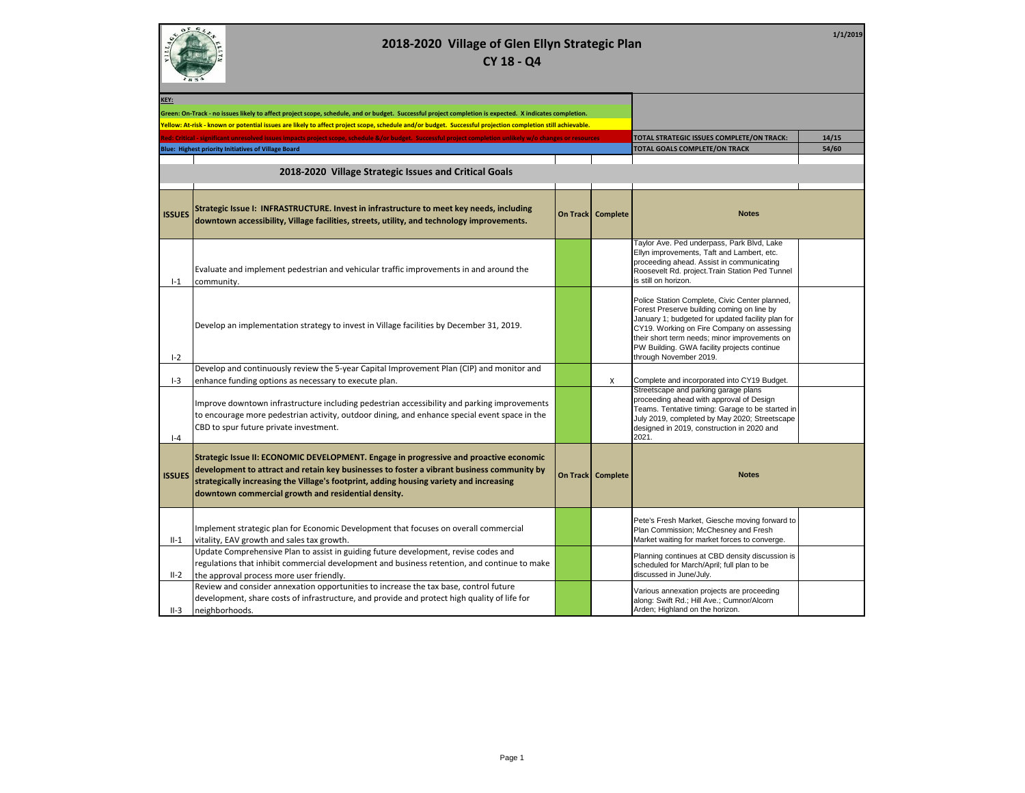

**1/1/2019**

| KEY:          |                                                                                                                                                                                                                                                                                                                                        |                                           |                     |                                                                                                                                                                                                                                                                                                                           |       |
|---------------|----------------------------------------------------------------------------------------------------------------------------------------------------------------------------------------------------------------------------------------------------------------------------------------------------------------------------------------|-------------------------------------------|---------------------|---------------------------------------------------------------------------------------------------------------------------------------------------------------------------------------------------------------------------------------------------------------------------------------------------------------------------|-------|
|               | Green: On-Track - no issues likely to affect project scope, schedule, and or budget. Successful project completion is expected. X indicates completion.                                                                                                                                                                                |                                           |                     |                                                                                                                                                                                                                                                                                                                           |       |
|               | Yellow: At-risk - known or potential issues are likely to affect project scope, schedule and/or budget. Successful projection completion still achievable.                                                                                                                                                                             |                                           |                     |                                                                                                                                                                                                                                                                                                                           |       |
|               | Red: Critical - significant unresolved issues impacts project scope, schedule &/or budget. Successful project completion unlikely w/o changes or resources                                                                                                                                                                             | TOTAL STRATEGIC ISSUES COMPLETE/ON TRACK: | 14/15               |                                                                                                                                                                                                                                                                                                                           |       |
|               | <b>Blue: Highest priority Initiatives of Village Board</b>                                                                                                                                                                                                                                                                             |                                           |                     | TOTAL GOALS COMPLETE/ON TRACK                                                                                                                                                                                                                                                                                             | 54/60 |
|               |                                                                                                                                                                                                                                                                                                                                        |                                           |                     |                                                                                                                                                                                                                                                                                                                           |       |
|               | 2018-2020 Village Strategic Issues and Critical Goals                                                                                                                                                                                                                                                                                  |                                           |                     |                                                                                                                                                                                                                                                                                                                           |       |
|               |                                                                                                                                                                                                                                                                                                                                        |                                           |                     |                                                                                                                                                                                                                                                                                                                           |       |
| <b>ISSUES</b> | Strategic Issue I: INFRASTRUCTURE. Invest in infrastructure to meet key needs, including<br>downtown accessibility, Village facilities, streets, utility, and technology improvements.                                                                                                                                                 |                                           | On Track   Complete | <b>Notes</b>                                                                                                                                                                                                                                                                                                              |       |
| $I-1$         | Evaluate and implement pedestrian and vehicular traffic improvements in and around the<br>community.                                                                                                                                                                                                                                   |                                           |                     | Taylor Ave. Ped underpass, Park Blvd, Lake<br>Ellyn improvements, Taft and Lambert, etc.<br>proceeding ahead. Assist in communicating<br>Roosevelt Rd. project. Train Station Ped Tunnel<br>is still on horizon.                                                                                                          |       |
| $I - 2$       | Develop an implementation strategy to invest in Village facilities by December 31, 2019.                                                                                                                                                                                                                                               |                                           |                     | Police Station Complete, Civic Center planned,<br>Forest Preserve building coming on line by<br>January 1; budgeted for updated facility plan for<br>CY19. Working on Fire Company on assessing<br>their short term needs; minor improvements on<br>PW Building. GWA facility projects continue<br>through November 2019. |       |
| $I-3$         | Develop and continuously review the 5-year Capital Improvement Plan (CIP) and monitor and<br>enhance funding options as necessary to execute plan.                                                                                                                                                                                     |                                           | X                   | Complete and incorporated into CY19 Budget.                                                                                                                                                                                                                                                                               |       |
| $ -4$         | Improve downtown infrastructure including pedestrian accessibility and parking improvements<br>to encourage more pedestrian activity, outdoor dining, and enhance special event space in the<br>CBD to spur future private investment.                                                                                                 |                                           |                     | Streetscape and parking garage plans<br>proceeding ahead with approval of Design<br>Teams. Tentative timing: Garage to be started in<br>July 2019, completed by May 2020; Streetscape<br>designed in 2019, construction in 2020 and<br>2021.                                                                              |       |
| <b>ISSUES</b> | Strategic Issue II: ECONOMIC DEVELOPMENT. Engage in progressive and proactive economic<br>development to attract and retain key businesses to foster a vibrant business community by<br>strategically increasing the Village's footprint, adding housing variety and increasing<br>downtown commercial growth and residential density. |                                           | On Track   Complete | <b>Notes</b>                                                                                                                                                                                                                                                                                                              |       |
| $II-1$        | Implement strategic plan for Economic Development that focuses on overall commercial<br>vitality, EAV growth and sales tax growth.                                                                                                                                                                                                     |                                           |                     | Pete's Fresh Market, Giesche moving forward to<br>Plan Commission; McChesney and Fresh<br>Market waiting for market forces to converge.                                                                                                                                                                                   |       |
| $II-2$        | Update Comprehensive Plan to assist in guiding future development, revise codes and<br>regulations that inhibit commercial development and business retention, and continue to make<br>the approval process more user friendly.                                                                                                        |                                           |                     | Planning continues at CBD density discussion is<br>scheduled for March/April; full plan to be<br>discussed in June/July.                                                                                                                                                                                                  |       |
| $II-3$        | Review and consider annexation opportunities to increase the tax base, control future<br>development, share costs of infrastructure, and provide and protect high quality of life for<br>neighborhoods.                                                                                                                                |                                           |                     | Various annexation projects are proceeding<br>along: Swift Rd.; Hill Ave.; Cumnor/Alcorn<br>Arden; Highland on the horizon.                                                                                                                                                                                               |       |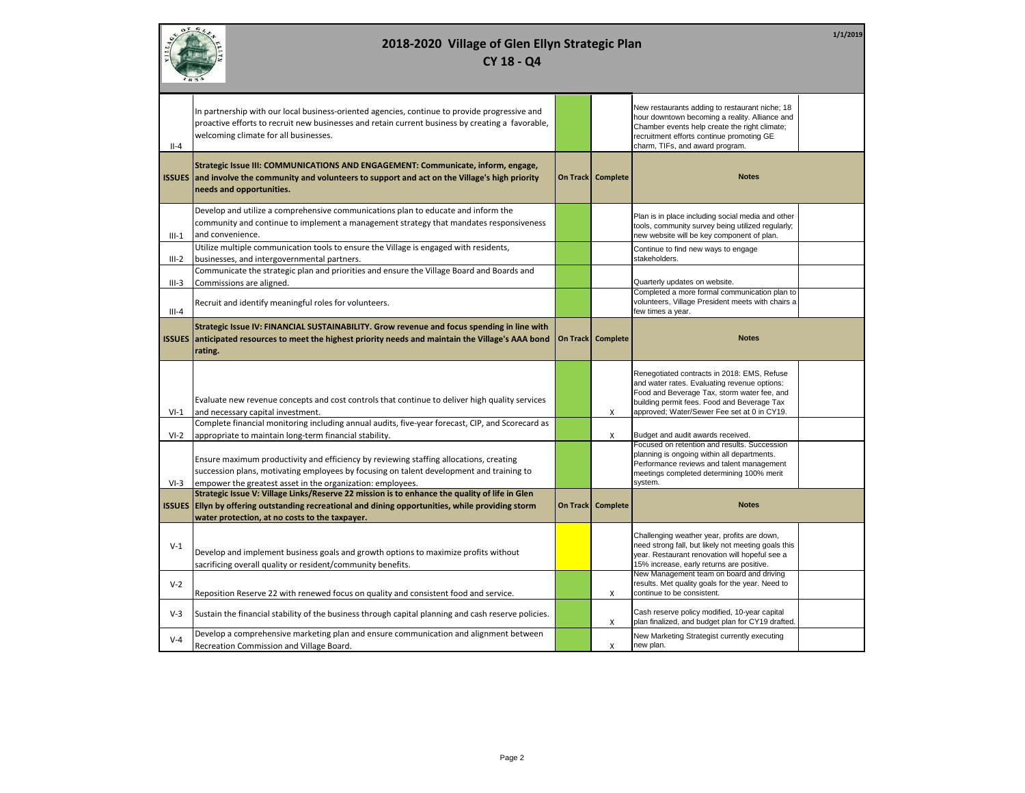|                    | 1/1/2019<br>2018-2020 Village of Glen Ellyn Strategic Plan<br>CY 18 - Q4                                                                                                                                                                             |          |                     |                                                                                                                                                                                                                                               |  |  |
|--------------------|------------------------------------------------------------------------------------------------------------------------------------------------------------------------------------------------------------------------------------------------------|----------|---------------------|-----------------------------------------------------------------------------------------------------------------------------------------------------------------------------------------------------------------------------------------------|--|--|
| $II-4$             | In partnership with our local business-oriented agencies, continue to provide progressive and<br>proactive efforts to recruit new businesses and retain current business by creating a favorable,<br>welcoming climate for all businesses.           |          |                     | New restaurants adding to restaurant niche; 18<br>hour downtown becoming a reality. Alliance and<br>Chamber events help create the right climate;<br>recruitment efforts continue promoting GE<br>charm, TIFs, and award program.             |  |  |
|                    | Strategic Issue III: COMMUNICATIONS AND ENGAGEMENT: Communicate, inform, engage,<br>ISSUES and involve the community and volunteers to support and act on the Village's high priority<br>needs and opportunities.                                    |          | On Track   Complete | <b>Notes</b>                                                                                                                                                                                                                                  |  |  |
| $III-1$            | Develop and utilize a comprehensive communications plan to educate and inform the<br>community and continue to implement a management strategy that mandates responsiveness<br>and convenience.                                                      |          |                     | Plan is in place including social media and other<br>tools, community survey being utilized regularly;<br>new website will be key component of plan.                                                                                          |  |  |
| $III-2$            | Utilize multiple communication tools to ensure the Village is engaged with residents,<br>businesses, and intergovernmental partners.<br>Communicate the strategic plan and priorities and ensure the Village Board and Boards and                    |          |                     | Continue to find new ways to engage<br>stakeholders.                                                                                                                                                                                          |  |  |
| $III-3$<br>$III-4$ | Commissions are aligned.<br>Recruit and identify meaningful roles for volunteers.                                                                                                                                                                    |          |                     | Quarterly updates on website.<br>Completed a more formal communication plan to<br>volunteers, Village President meets with chairs a<br>few times a year.                                                                                      |  |  |
| <b>ISSUES</b>      | Strategic Issue IV: FINANCIAL SUSTAINABILITY. Grow revenue and focus spending in line with<br>anticipated resources to meet the highest priority needs and maintain the Village's AAA bond<br>rating.                                                | On Track | Complete            | <b>Notes</b>                                                                                                                                                                                                                                  |  |  |
| $VI-1$             | Evaluate new revenue concepts and cost controls that continue to deliver high quality services<br>and necessary capital investment.                                                                                                                  |          | X                   | Renegotiated contracts in 2018: EMS, Refuse<br>and water rates. Evaluating revenue options:<br>Food and Beverage Tax, storm water fee, and<br>building permit fees. Food and Beverage Tax<br>approved; Water/Sewer Fee set at 0 in CY19.      |  |  |
| $VI-2$             | Complete financial monitoring including annual audits, five-year forecast, CIP, and Scorecard as<br>appropriate to maintain long-term financial stability.                                                                                           |          | X                   | Budget and audit awards received.                                                                                                                                                                                                             |  |  |
| $VI-3$             | Ensure maximum productivity and efficiency by reviewing staffing allocations, creating<br>succession plans, motivating employees by focusing on talent development and training to<br>empower the greatest asset in the organization: employees.     |          |                     | Focused on retention and results. Succession<br>planning is ongoing within all departments.<br>Performance reviews and talent management<br>meetings completed determining 100% merit<br>system.                                              |  |  |
|                    | Strategic Issue V: Village Links/Reserve 22 mission is to enhance the quality of life in Glen<br>ISSUES EIIyn by offering outstanding recreational and dining opportunities, while providing storm<br>water protection, at no costs to the taxpayer. |          | On Track Complete   | <b>Notes</b>                                                                                                                                                                                                                                  |  |  |
| $V-1$              | Develop and implement business goals and growth options to maximize profits without<br>sacrificing overall quality or resident/community benefits.                                                                                                   |          |                     | Challenging weather year, profits are down,<br>need strong fall, but likely not meeting goals this<br>year. Restaurant renovation will hopeful see a<br>15% increase, early returns are positive.<br>New Management team on board and driving |  |  |
| $V-2$              | Reposition Reserve 22 with renewed focus on quality and consistent food and service.                                                                                                                                                                 |          | X                   | results. Met quality goals for the year. Need to<br>continue to be consistent.                                                                                                                                                                |  |  |
| $V-3$              | Sustain the financial stability of the business through capital planning and cash reserve policies.                                                                                                                                                  |          | X                   | Cash reserve policy modified, 10-year capital<br>plan finalized, and budget plan for CY19 drafted.                                                                                                                                            |  |  |
| $V - 4$            | Develop a comprehensive marketing plan and ensure communication and alignment between<br>Recreation Commission and Village Board.                                                                                                                    |          | X                   | New Marketing Strategist currently executing<br>new plan.                                                                                                                                                                                     |  |  |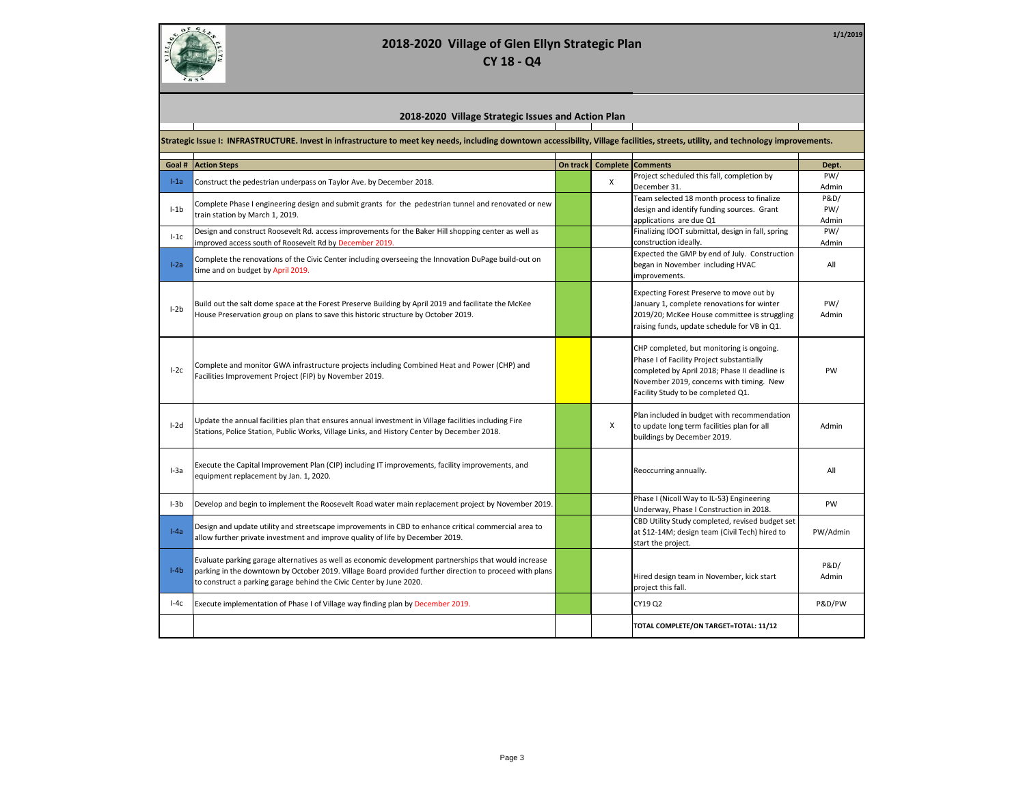

| 2018-2020 Village Strategic Issues and Action Plan |  |
|----------------------------------------------------|--|
|----------------------------------------------------|--|

**Strategic Issue I: INFRASTRUCTURE. Invest in infrastructure to meet key needs, including downtown accessibility, Village facilities, streets, utility, and technology improvements.**

| Goal #   | <b>Action Steps</b>                                                                                                                       | On track | <b>Complete</b> | <b>Comments</b>                                                                           | Dept.           |
|----------|-------------------------------------------------------------------------------------------------------------------------------------------|----------|-----------------|-------------------------------------------------------------------------------------------|-----------------|
| $l-1a$   | Construct the pedestrian underpass on Taylor Ave. by December 2018.                                                                       |          | X               | Project scheduled this fall, completion by                                                | PW/             |
|          |                                                                                                                                           |          |                 | December 31.                                                                              | Admin           |
|          | Complete Phase I engineering design and submit grants for the pedestrian tunnel and renovated or new<br>train station by March 1, 2019.   |          |                 | Team selected 18 month process to finalize                                                | <b>P&amp;D/</b> |
| $I - 1b$ |                                                                                                                                           |          |                 | design and identify funding sources. Grant                                                | PW/             |
|          |                                                                                                                                           |          |                 | applications are due Q1                                                                   | Admin           |
| $l-1c$   | Design and construct Roosevelt Rd. access improvements for the Baker Hill shopping center as well as                                      |          |                 | Finalizing IDOT submittal, design in fall, spring                                         | PW/             |
|          | improved access south of Roosevelt Rd by December 2019.                                                                                   |          |                 | construction ideally.<br>Expected the GMP by end of July. Construction                    | Admin           |
| $1-2a$   | Complete the renovations of the Civic Center including overseeing the Innovation DuPage build-out on<br>time and on budget by April 2019. |          |                 | began in November including HVAC                                                          | All             |
|          |                                                                                                                                           |          |                 | improvements.                                                                             |                 |
|          |                                                                                                                                           |          |                 | Expecting Forest Preserve to move out by                                                  |                 |
| $l-2b$   | Build out the salt dome space at the Forest Preserve Building by April 2019 and facilitate the McKee                                      |          |                 | January 1, complete renovations for winter                                                | PW/             |
|          | House Preservation group on plans to save this historic structure by October 2019.                                                        |          |                 | 2019/20; McKee House committee is struggling                                              | Admin           |
|          |                                                                                                                                           |          |                 | raising funds, update schedule for VB in Q1.                                              |                 |
|          |                                                                                                                                           |          |                 |                                                                                           |                 |
|          |                                                                                                                                           |          |                 | CHP completed, but monitoring is ongoing.                                                 |                 |
| $I-2c$   | Complete and monitor GWA infrastructure projects including Combined Heat and Power (CHP) and                                              |          |                 | Phase I of Facility Project substantially                                                 | PW              |
|          | Facilities Improvement Project (FIP) by November 2019.                                                                                    |          |                 | completed by April 2018; Phase II deadline is<br>November 2019, concerns with timing. New |                 |
|          |                                                                                                                                           |          |                 | Facility Study to be completed Q1.                                                        |                 |
|          |                                                                                                                                           |          |                 |                                                                                           |                 |
|          |                                                                                                                                           |          |                 | Plan included in budget with recommendation                                               |                 |
| $I-2d$   | Update the annual facilities plan that ensures annual investment in Village facilities including Fire                                     |          | X               | to update long term facilities plan for all                                               | Admin           |
|          | Stations, Police Station, Public Works, Village Links, and History Center by December 2018.                                               |          |                 | buildings by December 2019.                                                               |                 |
|          |                                                                                                                                           |          |                 |                                                                                           |                 |
|          | Execute the Capital Improvement Plan (CIP) including IT improvements, facility improvements, and                                          |          |                 |                                                                                           |                 |
| $I-3a$   | equipment replacement by Jan. 1, 2020.                                                                                                    |          |                 | Reoccurring annually.                                                                     | All             |
|          |                                                                                                                                           |          |                 |                                                                                           |                 |
|          |                                                                                                                                           |          |                 | Phase I (Nicoll Way to IL-53) Engineering                                                 |                 |
| $I-3b$   | Develop and begin to implement the Roosevelt Road water main replacement project by November 2019.                                        |          |                 | Underway, Phase I Construction in 2018.                                                   | <b>PW</b>       |
|          | Design and update utility and streetscape improvements in CBD to enhance critical commercial area to                                      |          |                 | CBD Utility Study completed, revised budget set                                           |                 |
| $I-Aa$   | allow further private investment and improve quality of life by December 2019.                                                            |          |                 | at \$12-14M; design team (Civil Tech) hired to                                            | PW/Admin        |
|          |                                                                                                                                           |          |                 | start the project.                                                                        |                 |
|          | Evaluate parking garage alternatives as well as economic development partnerships that would increase                                     |          |                 |                                                                                           |                 |
| $I-4b$   | parking in the downtown by October 2019. Village Board provided further direction to proceed with plans                                   |          |                 |                                                                                           | P&D/            |
|          | to construct a parking garage behind the Civic Center by June 2020.                                                                       |          |                 | Hired design team in November, kick start                                                 | Admin           |
|          |                                                                                                                                           |          |                 | project this fall.                                                                        |                 |
| $I-4c$   | Execute implementation of Phase I of Village way finding plan by December 2019.                                                           |          |                 | CY19 Q2                                                                                   | P&D/PW          |
|          |                                                                                                                                           |          |                 | TOTAL COMPLETE/ON TARGET=TOTAL: 11/12                                                     |                 |
|          |                                                                                                                                           |          |                 |                                                                                           |                 |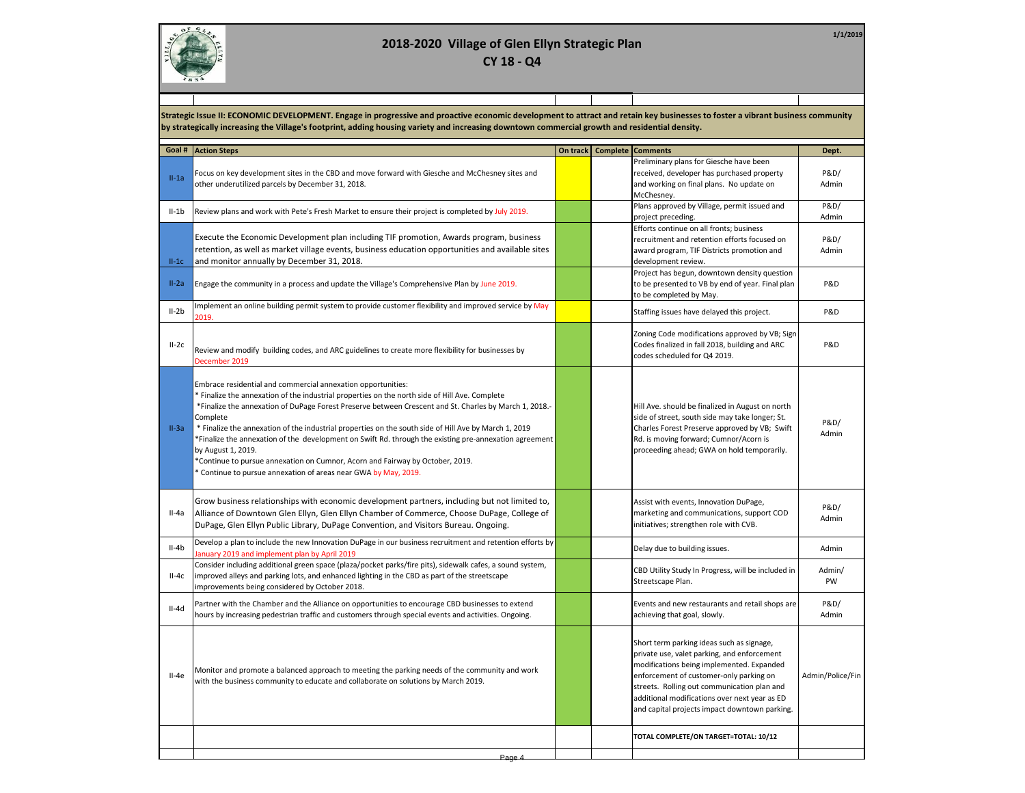

**1/1/2019**

**Strategic Issue II: ECONOMIC DEVELOPMENT. Engage in progressive and proactive economic development to attract and retain key businesses to foster a vibrant business community by strategically increasing the Village's footprint, adding housing variety and increasing downtown commercial growth and residential density.**

| Goal #  | <b>Action Steps</b>                                                                                                                                                                                                                                                                                                                                                                                                                                                                                                                                                                                                                                                            | On track   Complete   Comments |                                                                                                                                                                                                                                                                                                                                   | Dept.                    |
|---------|--------------------------------------------------------------------------------------------------------------------------------------------------------------------------------------------------------------------------------------------------------------------------------------------------------------------------------------------------------------------------------------------------------------------------------------------------------------------------------------------------------------------------------------------------------------------------------------------------------------------------------------------------------------------------------|--------------------------------|-----------------------------------------------------------------------------------------------------------------------------------------------------------------------------------------------------------------------------------------------------------------------------------------------------------------------------------|--------------------------|
| $II-1a$ | Focus on key development sites in the CBD and move forward with Giesche and McChesney sites and<br>other underutilized parcels by December 31, 2018.                                                                                                                                                                                                                                                                                                                                                                                                                                                                                                                           |                                | Preliminary plans for Giesche have been<br>received, developer has purchased property<br>and working on final plans. No update on<br>McChesney.                                                                                                                                                                                   | P&D/<br>Admin            |
| $II-1b$ | Review plans and work with Pete's Fresh Market to ensure their project is completed by July 2019.                                                                                                                                                                                                                                                                                                                                                                                                                                                                                                                                                                              |                                | Plans approved by Village, permit issued and<br>project preceding.                                                                                                                                                                                                                                                                | <b>P&amp;D/</b><br>Admin |
| $II-1C$ | Execute the Economic Development plan including TIF promotion, Awards program, business<br>retention, as well as market village events, business education opportunities and available sites<br>and monitor annually by December 31, 2018.                                                                                                                                                                                                                                                                                                                                                                                                                                     |                                | Efforts continue on all fronts; business<br>recruitment and retention efforts focused on<br>award program, TIF Districts promotion and<br>development review.                                                                                                                                                                     | P&D/<br>Admin            |
| $II-2a$ | Engage the community in a process and update the Village's Comprehensive Plan by June 2019.                                                                                                                                                                                                                                                                                                                                                                                                                                                                                                                                                                                    |                                | Project has begun, downtown density question<br>to be presented to VB by end of year. Final plan<br>to be completed by May.                                                                                                                                                                                                       | P&D                      |
| $II-2b$ | Implement an online building permit system to provide customer flexibility and improved service by May<br>2019.                                                                                                                                                                                                                                                                                                                                                                                                                                                                                                                                                                |                                | Staffing issues have delayed this project.                                                                                                                                                                                                                                                                                        | P&D                      |
| $II-2c$ | Review and modify building codes, and ARC guidelines to create more flexibility for businesses by<br>December 2019                                                                                                                                                                                                                                                                                                                                                                                                                                                                                                                                                             |                                | Zoning Code modifications approved by VB; Sign<br>Codes finalized in fall 2018, building and ARC<br>codes scheduled for Q4 2019.                                                                                                                                                                                                  | P&D                      |
| $II-3a$ | Embrace residential and commercial annexation opportunities:<br>* Finalize the annexation of the industrial properties on the north side of Hill Ave. Complete<br>*Finalize the annexation of DuPage Forest Preserve between Crescent and St. Charles by March 1, 2018.-<br>Complete<br>* Finalize the annexation of the industrial properties on the south side of Hill Ave by March 1, 2019<br>Finalize the annexation of the development on Swift Rd. through the existing pre-annexation agreement<br>by August 1, 2019.<br>*Continue to pursue annexation on Cumnor, Acorn and Fairway by October, 2019.<br>Continue to pursue annexation of areas near GWA by May, 2019. |                                | Hill Ave. should be finalized in August on north<br>side of street, south side may take longer; St.<br>Charles Forest Preserve approved by VB; Swift<br>Rd. is moving forward; Cumnor/Acorn is<br>proceeding ahead; GWA on hold temporarily.                                                                                      | P&D/<br>Admin            |
| $II-4a$ | Grow business relationships with economic development partners, including but not limited to,<br>Alliance of Downtown Glen Ellyn, Glen Ellyn Chamber of Commerce, Choose DuPage, College of<br>DuPage, Glen Ellyn Public Library, DuPage Convention, and Visitors Bureau. Ongoing.                                                                                                                                                                                                                                                                                                                                                                                             |                                | Assist with events, Innovation DuPage,<br>marketing and communications, support COD<br>initiatives; strengthen role with CVB.                                                                                                                                                                                                     | P&D/<br>Admin            |
| $II-4b$ | Develop a plan to include the new Innovation DuPage in our business recruitment and retention efforts by<br>anuary 2019 and implement plan by April 2019                                                                                                                                                                                                                                                                                                                                                                                                                                                                                                                       |                                | Delay due to building issues.                                                                                                                                                                                                                                                                                                     | Admin                    |
| $II-4c$ | Consider including additional green space (plaza/pocket parks/fire pits), sidewalk cafes, a sound system,<br>improved alleys and parking lots, and enhanced lighting in the CBD as part of the streetscape<br>improvements being considered by October 2018.                                                                                                                                                                                                                                                                                                                                                                                                                   |                                | CBD Utility Study In Progress, will be included in<br>Streetscape Plan.                                                                                                                                                                                                                                                           | Admin/<br>PW             |
| $II-4d$ | Partner with the Chamber and the Alliance on opportunities to encourage CBD businesses to extend<br>hours by increasing pedestrian traffic and customers through special events and activities. Ongoing.                                                                                                                                                                                                                                                                                                                                                                                                                                                                       |                                | Events and new restaurants and retail shops are<br>achieving that goal, slowly.                                                                                                                                                                                                                                                   | P&D/<br>Admin            |
| $II-4e$ | Monitor and promote a balanced approach to meeting the parking needs of the community and work<br>with the business community to educate and collaborate on solutions by March 2019.                                                                                                                                                                                                                                                                                                                                                                                                                                                                                           |                                | Short term parking ideas such as signage,<br>private use, valet parking, and enforcement<br>modifications being implemented. Expanded<br>enforcement of customer-only parking on<br>streets. Rolling out communication plan and<br>additional modifications over next year as ED<br>and capital projects impact downtown parking. | Admin/Police/Fin         |
|         |                                                                                                                                                                                                                                                                                                                                                                                                                                                                                                                                                                                                                                                                                |                                | TOTAL COMPLETE/ON TARGET=TOTAL: 10/12                                                                                                                                                                                                                                                                                             |                          |
|         | Dogo 4                                                                                                                                                                                                                                                                                                                                                                                                                                                                                                                                                                                                                                                                         |                                |                                                                                                                                                                                                                                                                                                                                   |                          |

Page 4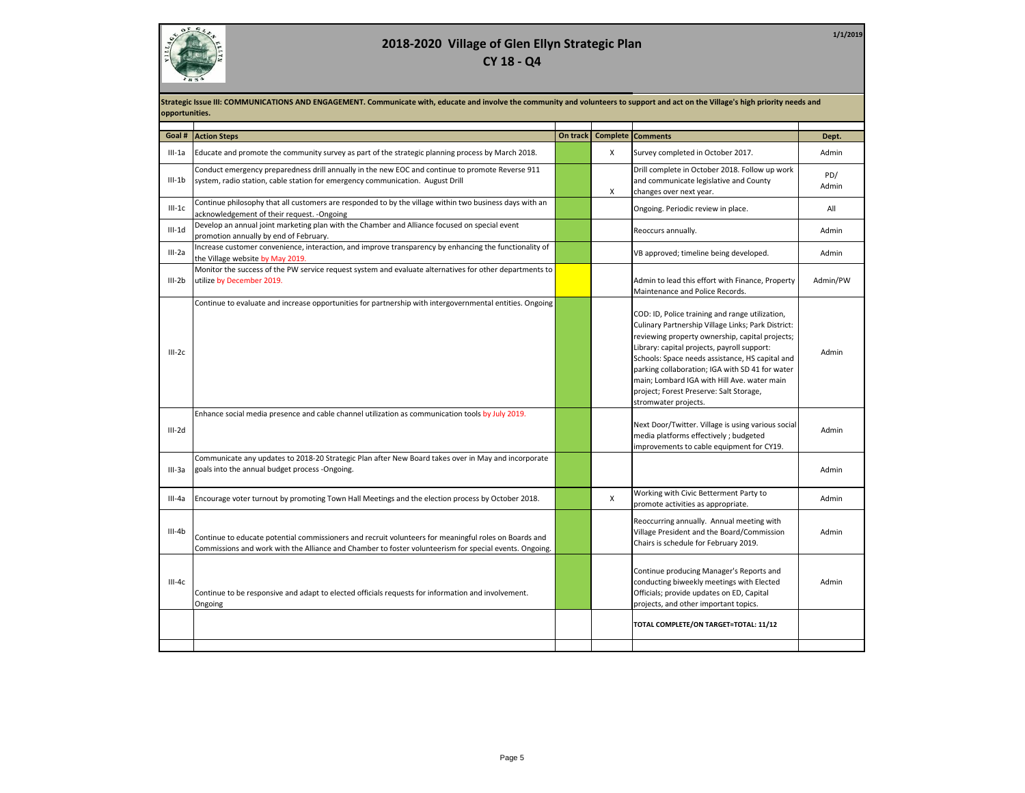

**1/1/2019**

|          | Strategic Issue III: COMMUNICATIONS AND ENGAGEMENT. Communicate with, educate and involve the community and volunteers to support and act on the Village's high priority needs and<br>opportunities.            |          |          |                                                                                                                                                                                                                                                                                                                                                                                                                                 |              |  |  |
|----------|-----------------------------------------------------------------------------------------------------------------------------------------------------------------------------------------------------------------|----------|----------|---------------------------------------------------------------------------------------------------------------------------------------------------------------------------------------------------------------------------------------------------------------------------------------------------------------------------------------------------------------------------------------------------------------------------------|--------------|--|--|
| Goal #   | <b>Action Steps</b>                                                                                                                                                                                             | On track | Complete | <b>Comments</b>                                                                                                                                                                                                                                                                                                                                                                                                                 | Dept.        |  |  |
| III-1a   | Educate and promote the community survey as part of the strategic planning process by March 2018.                                                                                                               |          | X        | Survey completed in October 2017.                                                                                                                                                                                                                                                                                                                                                                                               | Admin        |  |  |
| $III-1b$ | Conduct emergency preparedness drill annually in the new EOC and continue to promote Reverse 911<br>system, radio station, cable station for emergency communication. August Drill                              |          | X        | Drill complete in October 2018. Follow up work<br>and communicate legislative and County<br>changes over next year.                                                                                                                                                                                                                                                                                                             | PD/<br>Admin |  |  |
| $III-1C$ | Continue philosophy that all customers are responded to by the village within two business days with an<br>acknowledgement of their request. - Ongoing                                                          |          |          | Ongoing. Periodic review in place.                                                                                                                                                                                                                                                                                                                                                                                              | All          |  |  |
| $III-1d$ | Develop an annual joint marketing plan with the Chamber and Alliance focused on special event<br>promotion annually by end of February.                                                                         |          |          | Reoccurs annually.                                                                                                                                                                                                                                                                                                                                                                                                              | Admin        |  |  |
| $III-2a$ | Increase customer convenience, interaction, and improve transparency by enhancing the functionality of<br>the Village website by May 2019.                                                                      |          |          | VB approved; timeline being developed.                                                                                                                                                                                                                                                                                                                                                                                          | Admin        |  |  |
| $III-2b$ | Monitor the success of the PW service request system and evaluate alternatives for other departments to<br>utilize by December 2019.                                                                            |          |          | Admin to lead this effort with Finance, Property<br>Maintenance and Police Records.                                                                                                                                                                                                                                                                                                                                             | Admin/PW     |  |  |
| $III-2c$ | Continue to evaluate and increase opportunities for partnership with intergovernmental entities. Ongoing                                                                                                        |          |          | COD: ID, Police training and range utilization,<br>Culinary Partnership Village Links; Park District:<br>reviewing property ownership, capital projects;<br>Library: capital projects, payroll support:<br>Schools: Space needs assistance, HS capital and<br>parking collaboration; IGA with SD 41 for water<br>main; Lombard IGA with Hill Ave. water main<br>project; Forest Preserve: Salt Storage,<br>stromwater projects. | Admin        |  |  |
| $III-2d$ | Enhance social media presence and cable channel utilization as communication tools by July 2019.                                                                                                                |          |          | Next Door/Twitter. Village is using various social<br>media platforms effectively; budgeted<br>improvements to cable equipment for CY19.                                                                                                                                                                                                                                                                                        | Admin        |  |  |
| III-3a   | Communicate any updates to 2018-20 Strategic Plan after New Board takes over in May and incorporate<br>goals into the annual budget process -Ongoing.                                                           |          |          |                                                                                                                                                                                                                                                                                                                                                                                                                                 | Admin        |  |  |
| $III-4a$ | Encourage voter turnout by promoting Town Hall Meetings and the election process by October 2018.                                                                                                               |          | X        | Working with Civic Betterment Party to<br>promote activities as appropriate.                                                                                                                                                                                                                                                                                                                                                    | Admin        |  |  |
| $III-4b$ | Continue to educate potential commissioners and recruit volunteers for meaningful roles on Boards and<br>Commissions and work with the Alliance and Chamber to foster volunteerism for special events. Ongoing. |          |          | Reoccurring annually. Annual meeting with<br>Village President and the Board/Commission<br>Chairs is schedule for February 2019.                                                                                                                                                                                                                                                                                                | Admin        |  |  |
| $III-4c$ | Continue to be responsive and adapt to elected officials requests for information and involvement.<br>Ongoing                                                                                                   |          |          | Continue producing Manager's Reports and<br>conducting biweekly meetings with Elected<br>Officials; provide updates on ED, Capital<br>projects, and other important topics.                                                                                                                                                                                                                                                     | Admin        |  |  |
|          |                                                                                                                                                                                                                 |          |          | TOTAL COMPLETE/ON TARGET=TOTAL: 11/12                                                                                                                                                                                                                                                                                                                                                                                           |              |  |  |
|          |                                                                                                                                                                                                                 |          |          |                                                                                                                                                                                                                                                                                                                                                                                                                                 |              |  |  |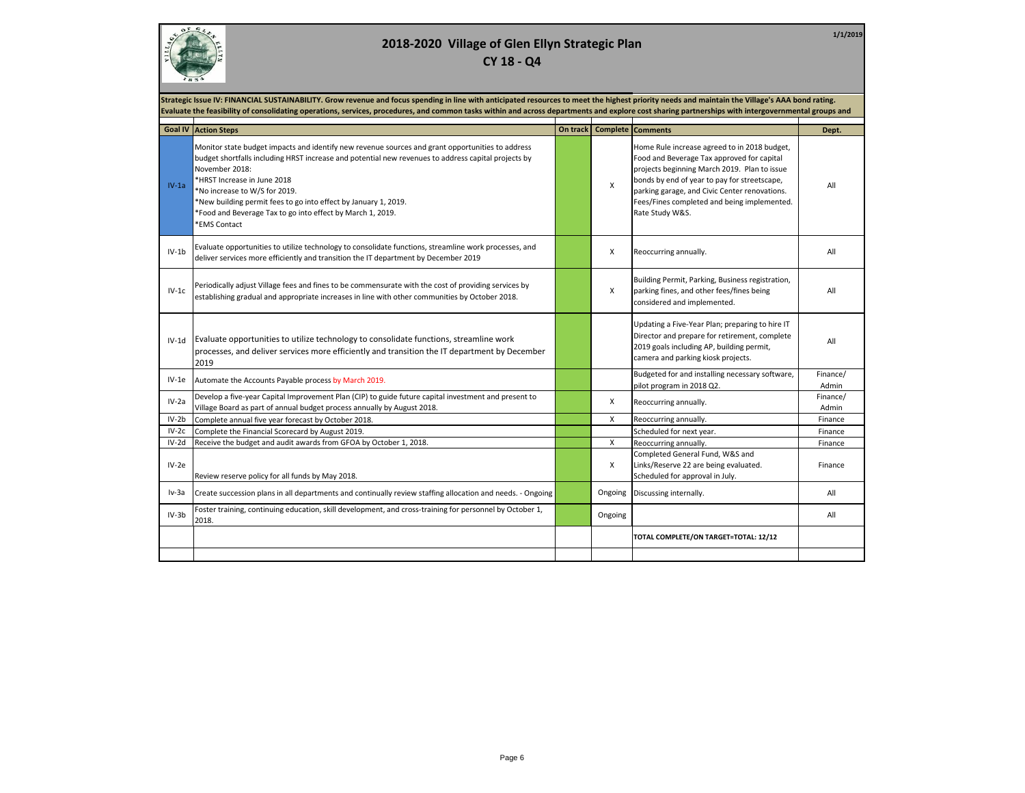

**1/1/2019**

|         | Strategic Issue IV: FINANCIAL SUSTAINABILITY. Grow revenue and focus spending in line with anticipated resources to meet the highest priority needs and maintain the Village's AAA bond rating.<br>Evaluate the feasibility of consolidating operations, services, procedures, and common tasks within and across departments and explore cost sharing partnerships with intergovernmental groups and                                             |          |         |                                                                                                                                                                                                                                                                                                               |                   |  |  |  |
|---------|---------------------------------------------------------------------------------------------------------------------------------------------------------------------------------------------------------------------------------------------------------------------------------------------------------------------------------------------------------------------------------------------------------------------------------------------------|----------|---------|---------------------------------------------------------------------------------------------------------------------------------------------------------------------------------------------------------------------------------------------------------------------------------------------------------------|-------------------|--|--|--|
|         |                                                                                                                                                                                                                                                                                                                                                                                                                                                   |          |         |                                                                                                                                                                                                                                                                                                               |                   |  |  |  |
|         | <b>Goal IV Action Steps</b>                                                                                                                                                                                                                                                                                                                                                                                                                       | On track |         | <b>Complete Comments</b>                                                                                                                                                                                                                                                                                      | Dept.             |  |  |  |
| $IV-1a$ | Monitor state budget impacts and identify new revenue sources and grant opportunities to address<br>budget shortfalls including HRST increase and potential new revenues to address capital projects by<br>November 2018:<br>*HRST Increase in June 2018<br>*No increase to W/S for 2019.<br>*New building permit fees to go into effect by January 1, 2019.<br>*Food and Beverage Tax to go into effect by March 1, 2019.<br><b>*EMS Contact</b> |          | X       | Home Rule increase agreed to in 2018 budget,<br>Food and Beverage Tax approved for capital<br>projects beginning March 2019. Plan to issue<br>bonds by end of year to pay for streetscape,<br>parking garage, and Civic Center renovations.<br>Fees/Fines completed and being implemented.<br>Rate Study W&S. | All               |  |  |  |
| $IV-1b$ | Evaluate opportunities to utilize technology to consolidate functions, streamline work processes, and<br>deliver services more efficiently and transition the IT department by December 2019                                                                                                                                                                                                                                                      |          | X       | Reoccurring annually.                                                                                                                                                                                                                                                                                         | All               |  |  |  |
| $IV-1c$ | Periodically adjust Village fees and fines to be commensurate with the cost of providing services by<br>establishing gradual and appropriate increases in line with other communities by October 2018.                                                                                                                                                                                                                                            |          | X       | Building Permit, Parking, Business registration,<br>parking fines, and other fees/fines being<br>considered and implemented.                                                                                                                                                                                  | All               |  |  |  |
|         | IV-1d Evaluate opportunities to utilize technology to consolidate functions, streamline work<br>processes, and deliver services more efficiently and transition the IT department by December<br>2019                                                                                                                                                                                                                                             |          |         | Updating a Five-Year Plan; preparing to hire IT<br>Director and prepare for retirement, complete<br>2019 goals including AP, building permit,<br>camera and parking kiosk projects.                                                                                                                           | All               |  |  |  |
| $IV-1e$ | Automate the Accounts Payable process by March 2019.                                                                                                                                                                                                                                                                                                                                                                                              |          |         | Budgeted for and installing necessary software,<br>pilot program in 2018 Q2.                                                                                                                                                                                                                                  | Finance/<br>Admin |  |  |  |
| $IV-2a$ | Develop a five-year Capital Improvement Plan (CIP) to guide future capital investment and present to<br>Village Board as part of annual budget process annually by August 2018.                                                                                                                                                                                                                                                                   |          | Χ       | Reoccurring annually.                                                                                                                                                                                                                                                                                         | Finance/<br>Admin |  |  |  |
| $IV-2b$ | Complete annual five year forecast by October 2018.                                                                                                                                                                                                                                                                                                                                                                                               |          | X       | Reoccurring annually.                                                                                                                                                                                                                                                                                         | Finance           |  |  |  |
| $IV-2c$ | Complete the Financial Scorecard by August 2019.                                                                                                                                                                                                                                                                                                                                                                                                  |          |         | Scheduled for next year.                                                                                                                                                                                                                                                                                      | Finance           |  |  |  |
| IV-2d   | Receive the budget and audit awards from GFOA by October 1, 2018.                                                                                                                                                                                                                                                                                                                                                                                 |          | X       | Reoccurring annually.                                                                                                                                                                                                                                                                                         | Finance           |  |  |  |
| $IV-2e$ | Review reserve policy for all funds by May 2018.                                                                                                                                                                                                                                                                                                                                                                                                  |          | Χ       | Completed General Fund, W&S and<br>Links/Reserve 22 are being evaluated.<br>Scheduled for approval in July.                                                                                                                                                                                                   | Finance           |  |  |  |
| $Iv-3a$ | Create succession plans in all departments and continually review staffing allocation and needs. - Ongoing                                                                                                                                                                                                                                                                                                                                        |          | Ongoing | Discussing internally.                                                                                                                                                                                                                                                                                        | All               |  |  |  |
| $IV-3b$ | Foster training, continuing education, skill development, and cross-training for personnel by October 1,<br>2018.                                                                                                                                                                                                                                                                                                                                 |          | Ongoing |                                                                                                                                                                                                                                                                                                               | All               |  |  |  |
|         |                                                                                                                                                                                                                                                                                                                                                                                                                                                   |          |         | TOTAL COMPLETE/ON TARGET=TOTAL: 12/12                                                                                                                                                                                                                                                                         |                   |  |  |  |
|         |                                                                                                                                                                                                                                                                                                                                                                                                                                                   |          |         |                                                                                                                                                                                                                                                                                                               |                   |  |  |  |